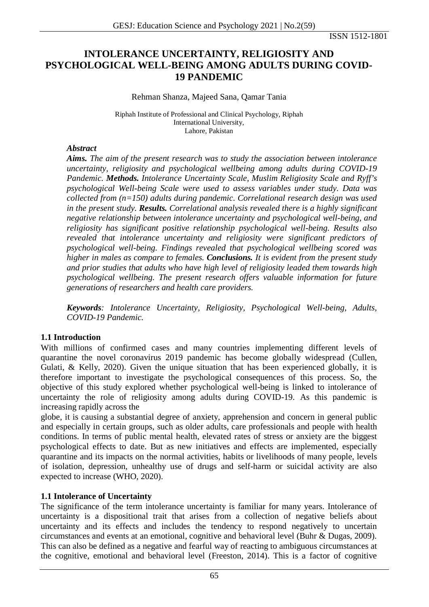ISSN 1512-1801

# **INTOLERANCE UNCERTAINTY, RELIGIOSITY AND PSYCHOLOGICAL WELL-BEING AMONG ADULTS DURING COVID-19 PANDEMIC**

#### Rehman Shanza, Majeed Sana, Qamar Tania

Riphah Institute of Professional and Clinical Psychology, Riphah International University, Lahore, Pakistan

#### *Abstract*

*Aims. The aim of the present research was to study the association between intolerance uncertainty, religiosity and psychological wellbeing among adults during COVID-19 Pandemic. Methods. Intolerance Uncertainty Scale, Muslim Religiosity Scale and Ryff's psychological Well-being Scale were used to assess variables under study. Data was collected from (n=150) adults during pandemic. Correlational research design was used in the present study. Results. Correlational analysis revealed there is a highly significant negative relationship between intolerance uncertainty and psychological well-being, and religiosity has significant positive relationship psychological well-being. Results also revealed that intolerance uncertainty and religiosity were significant predictors of psychological well-being. Findings revealed that psychological wellbeing scored was higher in males as compare to females. Conclusions. It is evident from the present study and prior studies that adults who have high level of religiosity leaded them towards high psychological wellbeing. The present research offers valuable information for future generations of researchers and health care providers.*

*Keywords: Intolerance Uncertainty, Religiosity, Psychological Well-being, Adults, COVID-19 Pandemic.*

## **1.1 Introduction**

With millions of confirmed cases and many countries implementing different levels of quarantine the novel coronavirus 2019 pandemic has become globally widespread (Cullen, Gulati, & Kelly, 2020). Given the unique situation that has been experienced globally, it is therefore important to investigate the psychological consequences of this process. So, the objective of this study explored whether psychological well-being is linked to intolerance of uncertainty the role of religiosity among adults during COVID-19. As this pandemic is increasing rapidly across the

globe, it is causing a substantial degree of anxiety, apprehension and concern in general public and especially in certain groups, such as older adults, care professionals and people with health conditions. In terms of public mental health, elevated rates of stress or anxiety are the biggest psychological effects to date. But as new initiatives and effects are implemented, especially quarantine and its impacts on the normal activities, habits or livelihoods of many people, levels of isolation, depression, unhealthy use of drugs and self-harm or suicidal activity are also expected to increase (WHO, 2020).

## **1.1 Intolerance of Uncertainty**

The significance of the term intolerance uncertainty is familiar for many years. Intolerance of uncertainty is a dispositional trait that arises from a collection of negative beliefs about uncertainty and its effects and includes the tendency to respond negatively to uncertain circumstances and events at an emotional, cognitive and behavioral level (Buhr & Dugas, 2009). This can also be defined as a negative and fearful way of reacting to ambiguous circumstances at the cognitive, emotional and behavioral level (Freeston, 2014). This is a factor of cognitive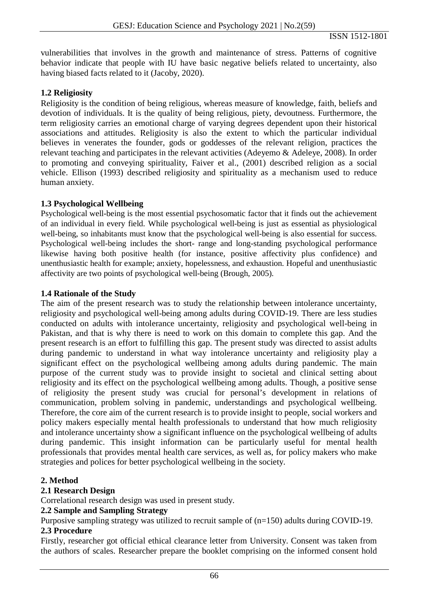vulnerabilities that involves in the growth and maintenance of stress. Patterns of cognitive behavior indicate that people with IU have basic negative beliefs related to uncertainty, also having biased facts related to it (Jacoby, 2020).

### **1.2 Religiosity**

Religiosity is the condition of being religious, whereas measure of knowledge, faith, beliefs and devotion of individuals. It is the quality of being religious, piety, devoutness. Furthermore, the term religiosity carries an emotional charge of varying degrees dependent upon their historical associations and attitudes. Religiosity is also the extent to which the particular individual believes in venerates the founder, gods or goddesses of the relevant religion, practices the relevant teaching and participates in the relevant activities (Adeyemo & Adeleye, 2008). In order to promoting and conveying spirituality, Faiver et al., (2001) described religion as a social vehicle. Ellison (1993) described religiosity and spirituality as a mechanism used to reduce human anxiety.

### **1.3 Psychological Wellbeing**

Psychological well-being is the most essential psychosomatic factor that it finds out the achievement of an individual in every field. While psychological well-being is just as essential as physiological well-being, so inhabitants must know that the psychological well-being is also essential for success. Psychological well-being includes the short- range and long-standing psychological performance likewise having both positive health (for instance, positive affectivity plus confidence) and unenthusiastic health for example; anxiety, hopelessness, and exhaustion. Hopeful and unenthusiastic affectivity are two points of psychological well-being (Brough, 2005).

### **1.4 Rationale of the Study**

The aim of the present research was to study the relationship between intolerance uncertainty, religiosity and psychological well-being among adults during COVID-19. There are less studies conducted on adults with intolerance uncertainty, religiosity and psychological well-being in Pakistan, and that is why there is need to work on this domain to complete this gap. And the present research is an effort to fulfilling this gap. The present study was directed to assist adults during pandemic to understand in what way intolerance uncertainty and religiosity play a significant effect on the psychological wellbeing among adults during pandemic. The main purpose of the current study was to provide insight to societal and clinical setting about religiosity and its effect on the psychological wellbeing among adults. Though, a positive sense of religiosity the present study was crucial for personal's development in relations of communication, problem solving in pandemic, understandings and psychological wellbeing. Therefore, the core aim of the current research is to provide insight to people, social workers and policy makers especially mental health professionals to understand that how much religiosity and intolerance uncertainty show a significant influence on the psychological wellbeing of adults during pandemic. This insight information can be particularly useful for mental health professionals that provides mental health care services, as well as, for policy makers who make strategies and polices for better psychological wellbeing in the society.

## **2. Method**

## **2.1 Research Design**

Correlational research design was used in present study.

#### **2.2 Sample and Sampling Strategy**

Purposive sampling strategy was utilized to recruit sample of (n=150) adults during COVID-19. **2.3 Procedure**

Firstly, researcher got official ethical clearance letter from University. Consent was taken from the authors of scales. Researcher prepare the booklet comprising on the informed consent hold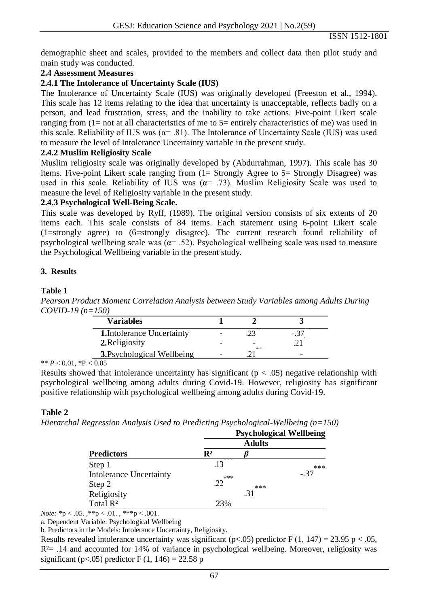demographic sheet and scales, provided to the members and collect data then pilot study and main study was conducted.

## **2.4 Assessment Measures**

### **2.4.1 The Intolerance of Uncertainty Scale (IUS)**

The Intolerance of Uncertainty Scale (IUS) was originally developed (Freeston et al., 1994). This scale has 12 items relating to the idea that uncertainty is unacceptable, reflects badly on a person, and lead frustration, stress, and the inability to take actions. Five-point Likert scale ranging from  $(1=$  not at all characteristics of me to  $5=$  entirely characteristics of me) was used in this scale. Reliability of IUS was ( $\alpha$ = .81). The Intolerance of Uncertainty Scale (IUS) was used to measure the level of Intolerance Uncertainty variable in the present study.

#### **2.4.2 Muslim Religiosity Scale**

Muslim religiosity scale was originally developed by (Abdurrahman, 1997). This scale has 30 items. Five-point Likert scale ranging from (1= Strongly Agree to 5= Strongly Disagree) was used in this scale. Reliability of IUS was  $(\alpha = .73)$ . Muslim Religiosity Scale was used to measure the level of Religiosity variable in the present study.

### **2.4.3 Psychological Well-Being Scale.**

This scale was developed by Ryff, (1989). The original version consists of six extents of 20 items each. This scale consists of 84 items. Each statement using 6-point Likert scale (1=strongly agree) to (6=strongly disagree). The current research found reliability of psychological wellbeing scale was  $(a= .52)$ . Psychological wellbeing scale was used to measure the Psychological Wellbeing variable in the present study.

#### **3. Results**

#### **Table 1**

*Pearson Product Moment Correlation Analysis between Study Variables among Adults During COVID-19 (n=150)*

| <b>Variables</b>                  |    |  |
|-----------------------------------|----|--|
| <b>1.</b> Intolerance Uncertainty |    |  |
| 2. Religiosity                    | 不不 |  |
| <b>3.</b> Psychological Wellbeing |    |  |
|                                   |    |  |

\*\* *P* < 0.01, \*P *<* 0.05

Results showed that intolerance uncertainty has significant ( $p < .05$ ) negative relationship with psychological wellbeing among adults during Covid-19. However, religiosity has significant positive relationship with psychological wellbeing among adults during Covid-19.

#### **Table 2**

*Hierarchal Regression Analysis Used to Predicting Psychological-Wellbeing (n=150)*

| <b>Predictors</b>              | <b>Psychological Wellbeing</b> |       |        |  |
|--------------------------------|--------------------------------|-------|--------|--|
|                                | <b>Adults</b>                  |       |        |  |
|                                | $\mathbf{R}^2$                 |       |        |  |
| Step 1                         | .13                            |       | $***$  |  |
| <b>Intolerance Uncertainty</b> | ***                            |       | $-.37$ |  |
| Step 2                         | .22                            | $***$ |        |  |
| Religiosity                    |                                | .31   |        |  |
| Total R <sup>2</sup>           | 23%                            |       |        |  |

*Note:* \*p < .05. ,\*\*p < .01. , \*\*\*p < .001.

a. Dependent Variable: Psychological Wellbeing

b. Predictors in the Models: Intolerance Uncertainty, Religiosity.

Results revealed intolerance uncertainty was significant ( $p<0.05$ ) predictor F (1, 147) = 23.95 p < .05,  $R<sup>2</sup>$  = .14 and accounted for 14% of variance in psychological wellbeing. Moreover, religiosity was significant (p<.05) predictor F (1, 146) = 22.58 p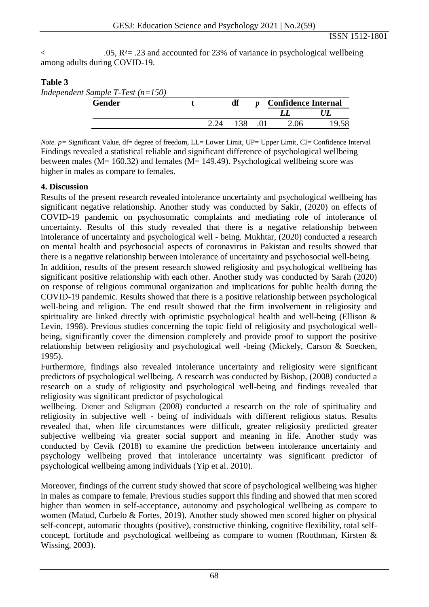$\leq$  .05, R<sup>2</sup>= .23 and accounted for 23% of variance in psychological wellbeing among adults during COVID-19.

# **Table 3**

*Independent Sample T-Test (n=150)*

| <b>Gender</b> |  | df | <b>Confidence Internal</b> |       |
|---------------|--|----|----------------------------|-------|
|               |  |    |                            |       |
|               |  | 38 | $\Omega$ 06                | 19.58 |

*Note. p* = Significant Value, df = degree of freedom, LL = Lower Limit, UP = Upper Limit, CI = Confidence Interval Findings revealed a statistical reliable and significant difference of psychological wellbeing between males (M= 160.32) and females (M= 149.49). Psychological wellbeing score was higher in males as compare to females.

## **4. Discussion**

Results of the present research revealed intolerance uncertainty and psychological wellbeing has significant negative relationship. Another study was conducted by Sakir, (2020) on effects of COVID-19 pandemic on psychosomatic complaints and mediating role of intolerance of uncertainty. Results of this study revealed that there is a negative relationship between intolerance of uncertainty and psychological well - being. Mukhtar, (2020) conducted a research on mental health and psychosocial aspects of coronavirus in Pakistan and results showed that there is a negative relationship between intolerance of uncertainty and psychosocial well-being.

In addition, results of the present research showed religiosity and psychological wellbeing has significant positive relationship with each other. Another study was conducted by Sarah (2020) on response of religious communal organization and implications for public health during the COVID-19 pandemic. Results showed that there is a positive relationship between psychological well-being and religion. The end result showed that the firm involvement in religiosity and spirituality are linked directly with optimistic psychological health and well-being (Ellison & Levin, 1998). Previous studies concerning the topic field of religiosity and psychological wellbeing, significantly cover the dimension completely and provide proof to support the positive relationship between religiosity and psychological well -being (Mickely, Carson & Soecken, 1995).

Furthermore, findings also revealed intolerance uncertainty and religiosity were significant predictors of psychological wellbeing. A research was conducted by Bishop, (2008) conducted a research on a study of religiosity and psychological well-being and findings revealed that religiosity was significant predictor of psychological

wellbeing. Diener and Seligman (2008) conducted a research on the role of spirituality and religiosity in subjective well - being of individuals with different religious status. Results revealed that, when life circumstances were difficult, greater religiosity predicted greater subjective wellbeing via greater social support and meaning in life. Another study was conducted by Cevik (2018) to examine the prediction between intolerance uncertainty and psychology wellbeing proved that intolerance uncertainty was significant predictor of psychological wellbeing among individuals (Yip et al. 2010).

Moreover, findings of the current study showed that score of psychological wellbeing was higher in males as compare to female. Previous studies support this finding and showed that men scored higher than women in self-acceptance, autonomy and psychological wellbeing as compare to women (Matud, Curbelo & Fortes, 2019). Another study showed men scored higher on physical self-concept, automatic thoughts (positive), constructive thinking, cognitive flexibility, total selfconcept, fortitude and psychological wellbeing as compare to women (Roothman, Kirsten & Wissing, 2003).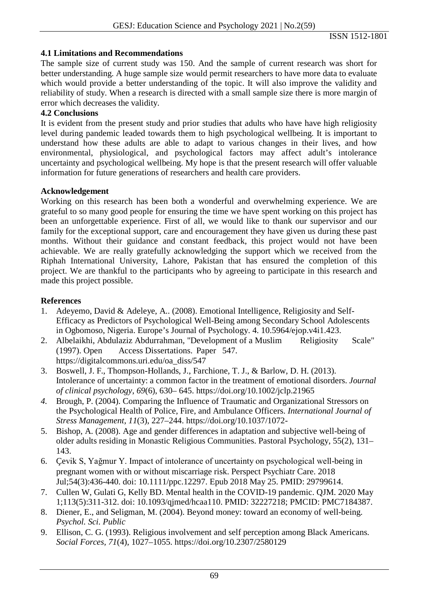# **4.1 Limitations and Recommendations**

The sample size of current study was 150. And the sample of current research was short for better understanding. A huge sample size would permit researchers to have more data to evaluate which would provide a better understanding of the topic. It will also improve the validity and reliability of study. When a research is directed with a small sample size there is more margin of error which decreases the validity.

# **4.2 Conclusions**

It is evident from the present study and prior studies that adults who have have high religiosity level during pandemic leaded towards them to high psychological wellbeing. It is important to understand how these adults are able to adapt to various changes in their lives, and how environmental, physiological, and psychological factors may affect adult's intolerance uncertainty and psychological wellbeing. My hope is that the present research will offer valuable information for future generations of researchers and health care providers.

## **Acknowledgement**

Working on this research has been both a wonderful and overwhelming experience. We are grateful to so many good people for ensuring the time we have spent working on this project has been an unforgettable experience. First of all, we would like to thank our supervisor and our family for the exceptional support, care and encouragement they have given us during these past months. Without their guidance and constant feedback, this project would not have been achievable. We are really gratefully acknowledging the support which we received from the Riphah International University, Lahore, Pakistan that has ensured the completion of this project. We are thankful to the participants who by agreeing to participate in this research and made this project possible.

# **References**

- 1. Adeyemo, David & Adeleye, A.. (2008). Emotional Intelligence, Religiosity and Self-Efficacy as Predictors of Psychological Well-Being among Secondary School Adolescents in Ogbomoso, Nigeria. Europe's Journal of Psychology. 4. 10.5964/ejop.v4i1.423.
- 2. Albelaikhi, Abdulaziz Abdurrahman, "Development of a Muslim Religiosity Scale" (1997). Open Access Dissertations. Paper 547. Access Dissertations. Paper 547. [https://digitalcommons.uri.edu/oa\\_diss/547](https://digitalcommons.uri.edu/oa_diss/547)
- 3. Boswell, J. F., Thompson-Hollands, J., Farchione, T. J., & Barlow, D. H. (2013). Intolerance of uncertainty: a common factor in the treatment of emotional disorders. *Journal of clinical psychology*, *69*(6), 630– 645.<https://doi.org/10.1002/jclp.21965>
- *4.* Brough, P. (2004). Comparing the Influence of Traumatic and Organizational Stressors on the Psychological Health of Police, Fire, and Ambulance Officers. *International Journal of Stress Management, 11*(3), 227–244. [https://doi.org/10.1037/1072-](https://psycnet.apa.org/doi/10.1037/1072-5245.11.3.227)
- 5. Bishop, A. (2008). Age and gender differences in adaptation and subjective well-being of older adults residing in Monastic Religious Communities. Pastoral Psychology, 55(2), 131– 143.
- 6. Çevik S, Yağmur Y. Impact of intolerance of uncertainty on psychological well-being in pregnant women with or without miscarriage risk. Perspect Psychiatr Care. 2018 Jul;54(3):436-440. doi: 10.1111/ppc.12297. Epub 2018 May 25. PMID: 29799614.
- 7. Cullen W, Gulati G, Kelly BD. Mental health in the COVID-19 pandemic. QJM. 2020 May 1;113(5):311-312. doi: 10.1093/qjmed/hcaa110. PMID: 32227218; PMCID: PMC7184387.
- 8. Diener, E., and Seligman, M. (2004). Beyond money: toward an economy of well-being. *Psychol. Sci. Public*
- 9. Ellison, C. G. (1993). Religious involvement and self perception among Black Americans. *Social Forces, 71*(4), 1027–1055. [https://doi.org/10.2307/2580129](https://psycnet.apa.org/doi/10.2307/2580129)